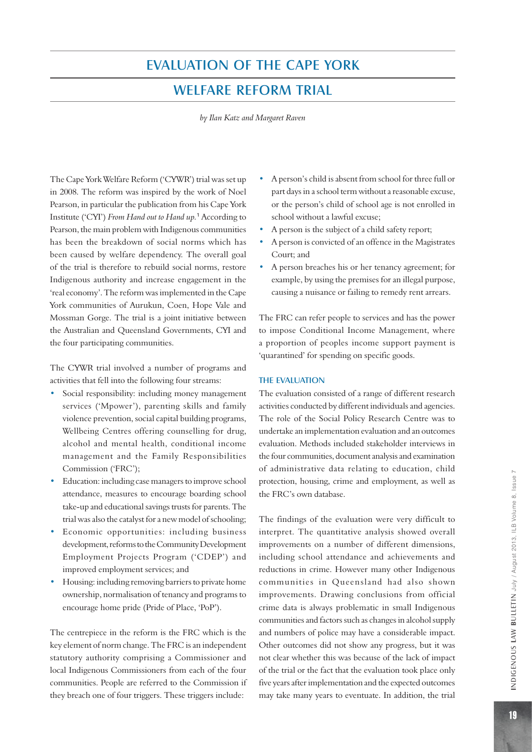# Evaluation of the Cape York

## Welfare Reform trial

*by Ilan Katz and Margaret Raven*

The Cape York Welfare Reform ('CYWR') trial was set up in 2008. The reform was inspired by the work of Noel Pearson, in particular the publication from his Cape York Institute ('CYI') *From Hand out to Hand up.*<sup>1</sup> According to Pearson, the main problem with Indigenous communities has been the breakdown of social norms which has been caused by welfare dependency. The overall goal of the trial is therefore to rebuild social norms, restore Indigenous authority and increase engagement in the 'real economy'. The reform was implemented in the Cape York communities of Aurukun, Coen, Hope Vale and Mossman Gorge. The trial is a joint initiative between the Australian and Queensland Governments, CYI and the four participating communities.

The CYWR trial involved a number of programs and activities that fell into the following four streams:

- Social responsibility: including money management services ('Mpower'), parenting skills and family violence prevention, social capital building programs, Wellbeing Centres offering counselling for drug, alcohol and mental health, conditional income management and the Family Responsibilities Commission ('FRC');
- Education: including case managers to improve school attendance, measures to encourage boarding school take-up and educational savings trusts for parents. The trial was also the catalyst for a new model of schooling;
- Economic opportunities: including business development, reforms to the Community Development Employment Projects Program ('CDEP') and improved employment services; and
- Housing: including removing barriers to private home ownership, normalisation of tenancy and programs to encourage home pride (Pride of Place, 'PoP').

The centrepiece in the reform is the FRC which is the key element of norm change. The FRC is an independent statutory authority comprising a Commissioner and local Indigenous Commissioners from each of the four communities. People are referred to the Commission if they breach one of four triggers. These triggers include:

- A person's child is absent from school for three full or part days in a school term without a reasonable excuse, or the person's child of school age is not enrolled in school without a lawful excuse;
- A person is the subject of a child safety report;
- A person is convicted of an offence in the Magistrates Court; and
- A person breaches his or her tenancy agreement; for example, by using the premises for an illegal purpose, causing a nuisance or failing to remedy rent arrears.

The FRC can refer people to services and has the power to impose Conditional Income Management, where a proportion of peoples income support payment is 'quarantined' for spending on specific goods.

#### The evaluation

The evaluation consisted of a range of different research activities conducted by different individuals and agencies. The role of the Social Policy Research Centre was to undertake an implementation evaluation and an outcomes evaluation. Methods included stakeholder interviews in the four communities, document analysis and examination of administrative data relating to education, child protection, housing, crime and employment, as well as the FRC's own database.

The findings of the evaluation were very difficult to interpret. The quantitative analysis showed overall improvements on a number of different dimensions, including school attendance and achievements and reductions in crime. However many other Indigenous communities in Queensland had also shown improvements. Drawing conclusions from official crime data is always problematic in small Indigenous communities and factors such as changes in alcohol supply and numbers of police may have a considerable impact. Other outcomes did not show any progress, but it was not clear whether this was because of the lack of impact of the trial or the fact that the evaluation took place only five years after implementation and the expected outcomes may take many years to eventuate. In addition, the trial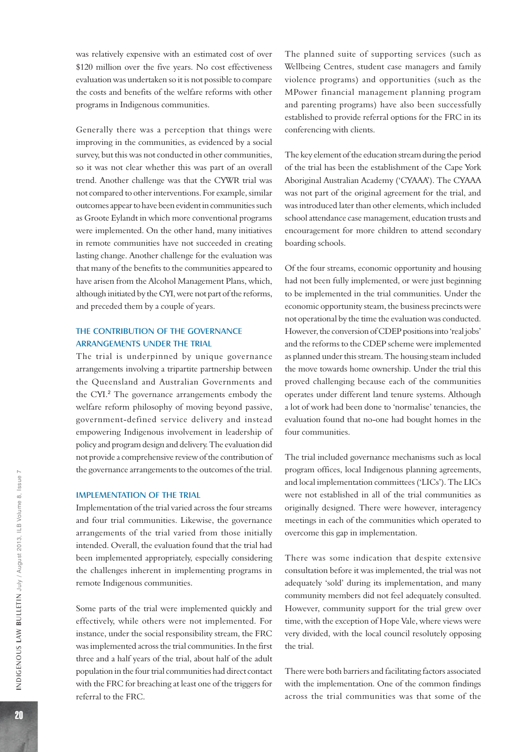was relatively expensive with an estimated cost of over \$120 million over the five years. No cost effectiveness evaluation was undertaken so it is not possible to compare the costs and benefits of the welfare reforms with other programs in Indigenous communities.

Generally there was a perception that things were improving in the communities, as evidenced by a social survey, but this was not conducted in other communities, so it was not clear whether this was part of an overall trend. Another challenge was that the CYWR trial was not compared to other interventions. For example, similar outcomes appear to have been evident in communities such as Groote Eylandt in which more conventional programs were implemented. On the other hand, many initiatives in remote communities have not succeeded in creating lasting change. Another challenge for the evaluation was that many of the benefits to the communities appeared to have arisen from the Alcohol Management Plans, which, although initiated by the CYI, were not part of the reforms, and preceded them by a couple of years.

## The contribution of the governance arrangements under the trial

The trial is underpinned by unique governance arrangements involving a tripartite partnership between the Queensland and Australian Governments and the CYI.<sup>2</sup> The governance arrangements embody the welfare reform philosophy of moving beyond passive, government-defined service delivery and instead empowering Indigenous involvement in leadership of policy and program design and delivery. The evaluation did not provide a comprehensive review of the contribution of the governance arrangements to the outcomes of the trial.

### Implementation of the trial

Implementation of the trial varied across the four streams and four trial communities. Likewise, the governance arrangements of the trial varied from those initially intended. Overall, the evaluation found that the trial had been implemented appropriately, especially considering the challenges inherent in implementing programs in remote Indigenous communities.

Some parts of the trial were implemented quickly and effectively, while others were not implemented. For instance, under the social responsibility stream, the FRC was implemented across the trial communities. In the first three and a half years of the trial, about half of the adult population in the four trial communities had direct contact with the FRC for breaching at least one of the triggers for referral to the FRC.

The planned suite of supporting services (such as Wellbeing Centres, student case managers and family violence programs) and opportunities (such as the MPower financial management planning program and parenting programs) have also been successfully established to provide referral options for the FRC in its conferencing with clients.

The key element of the education stream during the period of the trial has been the establishment of the Cape York Aboriginal Australian Academy ('CYAAA'). The CYAAA was not part of the original agreement for the trial, and was introduced later than other elements, which included school attendance case management, education trusts and encouragement for more children to attend secondary boarding schools.

Of the four streams, economic opportunity and housing had not been fully implemented, or were just beginning to be implemented in the trial communities. Under the economic opportunity steam, the business precincts were not operational by the time the evaluation was conducted. However, the conversion of CDEP positions into 'real jobs' and the reforms to the CDEP scheme were implemented as planned under this stream. The housing steam included the move towards home ownership. Under the trial this proved challenging because each of the communities operates under different land tenure systems. Although a lot of work had been done to 'normalise' tenancies, the evaluation found that no-one had bought homes in the four communities.

The trial included governance mechanisms such as local program offices, local Indigenous planning agreements, and local implementation committees ('LICs'). The LICs were not established in all of the trial communities as originally designed. There were however, interagency meetings in each of the communities which operated to overcome this gap in implementation.

There was some indication that despite extensive consultation before it was implemented, the trial was not adequately 'sold' during its implementation, and many community members did not feel adequately consulted. However, community support for the trial grew over time, with the exception of Hope Vale, where views were very divided, with the local council resolutely opposing the trial.

There were both barriers and facilitating factors associated with the implementation. One of the common findings across the trial communities was that some of the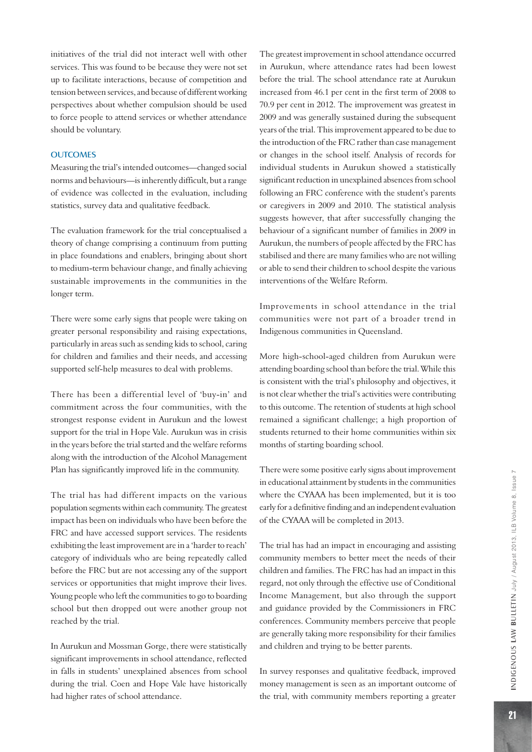initiatives of the trial did not interact well with other services. This was found to be because they were not set up to facilitate interactions, because of competition and tension between services, and because of different working perspectives about whether compulsion should be used to force people to attend services or whether attendance should be voluntary.

#### **OUTCOMES**

Measuring the trial's intended outcomes—changed social norms and behaviours—is inherently difficult, but a range of evidence was collected in the evaluation, including statistics, survey data and qualitative feedback.

The evaluation framework for the trial conceptualised a theory of change comprising a continuum from putting in place foundations and enablers, bringing about short to medium-term behaviour change, and finally achieving sustainable improvements in the communities in the longer term.

There were some early signs that people were taking on greater personal responsibility and raising expectations, particularly in areas such as sending kids to school, caring for children and families and their needs, and accessing supported self-help measures to deal with problems.

There has been a differential level of 'buy-in' and commitment across the four communities, with the strongest response evident in Aurukun and the lowest support for the trial in Hope Vale. Aurukun was in crisis in the years before the trial started and the welfare reforms along with the introduction of the Alcohol Management Plan has significantly improved life in the community.

The trial has had different impacts on the various population segments within each community. The greatest impact has been on individuals who have been before the FRC and have accessed support services. The residents exhibiting the least improvement are in a 'harder to reach' category of individuals who are being repeatedly called before the FRC but are not accessing any of the support services or opportunities that might improve their lives. Young people who left the communities to go to boarding school but then dropped out were another group not reached by the trial.

In Aurukun and Mossman Gorge, there were statistically significant improvements in school attendance, reflected in falls in students' unexplained absences from school during the trial. Coen and Hope Vale have historically had higher rates of school attendance.

The greatest improvement in school attendance occurred in Aurukun, where attendance rates had been lowest before the trial. The school attendance rate at Aurukun increased from 46.1 per cent in the first term of 2008 to 70.9 per cent in 2012. The improvement was greatest in 2009 and was generally sustained during the subsequent years of the trial. This improvement appeared to be due to the introduction of the FRC rather than case management or changes in the school itself. Analysis of records for individual students in Aurukun showed a statistically significant reduction in unexplained absences from school following an FRC conference with the student's parents or caregivers in 2009 and 2010. The statistical analysis suggests however, that after successfully changing the behaviour of a significant number of families in 2009 in Aurukun, the numbers of people affected by the FRC has stabilised and there are many families who are not willing or able to send their children to school despite the various interventions of the Welfare Reform.

Improvements in school attendance in the trial communities were not part of a broader trend in Indigenous communities in Queensland.

More high-school-aged children from Aurukun were attending boarding school than before the trial. While this is consistent with the trial's philosophy and objectives, it is not clear whether the trial's activities were contributing to this outcome. The retention of students at high school remained a significant challenge; a high proportion of students returned to their home communities within six months of starting boarding school.

There were some positive early signs about improvement in educational attainment by students in the communities where the CYAAA has been implemented, but it is too early for a definitive finding and an independent evaluation of the CYAAA will be completed in 2013.

The trial has had an impact in encouraging and assisting community members to better meet the needs of their children and families. The FRC has had an impact in this regard, not only through the effective use of Conditional Income Management, but also through the support and guidance provided by the Commissioners in FRC conferences. Community members perceive that people are generally taking more responsibility for their families and children and trying to be better parents.

In survey responses and qualitative feedback, improved money management is seen as an important outcome of the trial, with community members reporting a greater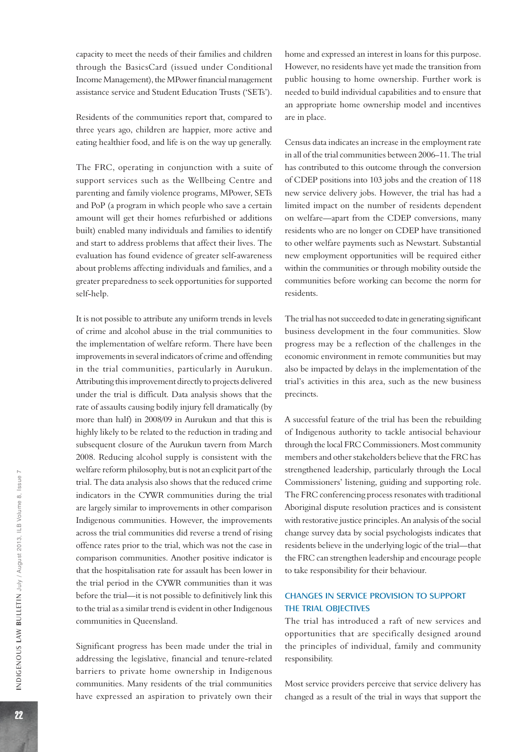capacity to meet the needs of their families and children through the BasicsCard (issued under Conditional Income Management), the MPower financial management assistance service and Student Education Trusts ('SETs').

Residents of the communities report that, compared to three years ago, children are happier, more active and eating healthier food, and life is on the way up generally.

The FRC, operating in conjunction with a suite of support services such as the Wellbeing Centre and parenting and family violence programs, MPower, SETs and PoP (a program in which people who save a certain amount will get their homes refurbished or additions built) enabled many individuals and families to identify and start to address problems that affect their lives. The evaluation has found evidence of greater self-awareness about problems affecting individuals and families, and a greater preparedness to seek opportunities for supported self-help.

It is not possible to attribute any uniform trends in levels of crime and alcohol abuse in the trial communities to the implementation of welfare reform. There have been improvements in several indicators of crime and offending in the trial communities, particularly in Aurukun. Attributing this improvement directly to projects delivered under the trial is difficult. Data analysis shows that the rate of assaults causing bodily injury fell dramatically (by more than half) in 2008/09 in Aurukun and that this is highly likely to be related to the reduction in trading and subsequent closure of the Aurukun tavern from March 2008. Reducing alcohol supply is consistent with the welfare reform philosophy, but is not an explicit part of the trial. The data analysis also shows that the reduced crime indicators in the CYWR communities during the trial are largely similar to improvements in other comparison Indigenous communities. However, the improvements across the trial communities did reverse a trend of rising offence rates prior to the trial, which was not the case in comparison communities. Another positive indicator is that the hospitalisation rate for assault has been lower in the trial period in the CYWR communities than it was before the trial—it is not possible to definitively link this to the trial as a similar trend is evident in other Indigenous communities in Queensland.

Significant progress has been made under the trial in addressing the legislative, financial and tenure-related barriers to private home ownership in Indigenous communities. Many residents of the trial communities have expressed an aspiration to privately own their home and expressed an interest in loans for this purpose. However, no residents have yet made the transition from public housing to home ownership. Further work is needed to build individual capabilities and to ensure that an appropriate home ownership model and incentives are in place.

Census data indicates an increase in the employment rate in all of the trial communities between 2006–11. The trial has contributed to this outcome through the conversion of CDEP positions into 103 jobs and the creation of 118 new service delivery jobs. However, the trial has had a limited impact on the number of residents dependent on welfare—apart from the CDEP conversions, many residents who are no longer on CDEP have transitioned to other welfare payments such as Newstart. Substantial new employment opportunities will be required either within the communities or through mobility outside the communities before working can become the norm for residents.

The trial has not succeeded to date in generating significant business development in the four communities. Slow progress may be a reflection of the challenges in the economic environment in remote communities but may also be impacted by delays in the implementation of the trial's activities in this area, such as the new business precincts.

A successful feature of the trial has been the rebuilding of Indigenous authority to tackle antisocial behaviour through the local FRC Commissioners. Most community members and other stakeholders believe that the FRC has strengthened leadership, particularly through the Local Commissioners' listening, guiding and supporting role. The FRC conferencing process resonates with traditional Aboriginal dispute resolution practices and is consistent with restorative justice principles. An analysis of the social change survey data by social psychologists indicates that residents believe in the underlying logic of the trial—that the FRC can strengthen leadership and encourage people to take responsibility for their behaviour.

## Changes in service provision to support the trial objectives

The trial has introduced a raft of new services and opportunities that are specifically designed around the principles of individual, family and community responsibility.

Most service providers perceive that service delivery has changed as a result of the trial in ways that support the